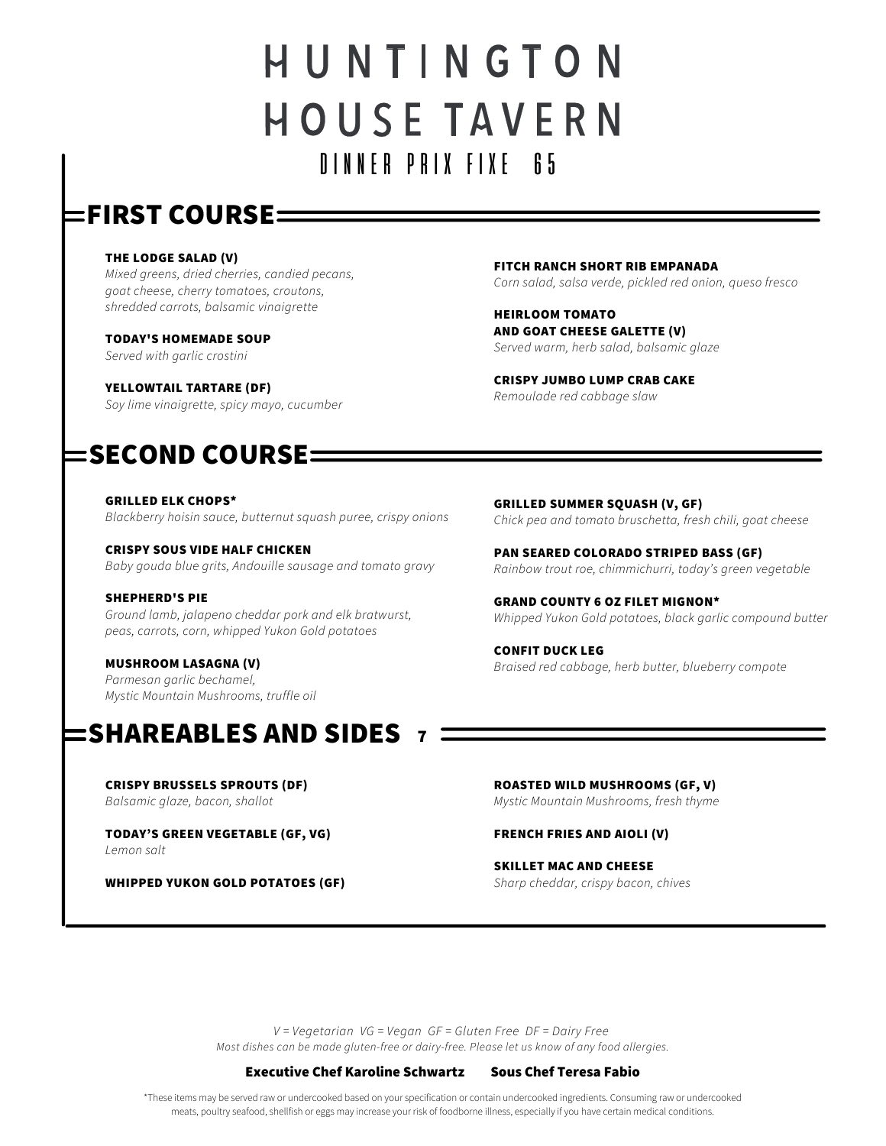# HUNTINGTON **HOUSE TAVERN** DINNER PRIX FIXE 65

### $\mathsf{\mathsf{c}}$ FIRST COURSE $\equiv$

#### THE LODGE SALAD (V)

Mixed greens, dried cherries, candied pecans, goat cheese, cherry tomatoes, croutons, shredded carrots, balsamic vinaigrette

TODAY'S HOMEMADE SOUP

Served with garlic crostini

YELLOWTAIL TARTARE (DF)

Soy lime vinaigrette, spicy mayo, cucumber

## $\mathsf{\mathsf{SECOND}}\,\mathsf{\mathsf{COURSE}}\mathsf{=}%$

GRILLED ELK CHOPS\* Blackberry hoisin sauce, butternut squash puree, crispy onions

CRISPY SOUS VIDE HALF CHICKEN Baby gouda blue grits, Andouille sausage and tomato gravy

SHEPHERD'S PIE Ground lamb, jalapeno cheddar pork and elk bratwurst, peas, carrots, corn, whipped Yukon Gold potatoes

MUSHROOM LASAGNA (V) Parmesan garlic bechamel, Mystic Mountain Mushrooms, truffle oil

## SHAREABLES AND SIDES 7

CRISPY BRUSSELS SPROUTS (DF) Balsamic glaze, bacon, shallot

TODAY'S GREEN VEGETABLE (GF, VG)

Lemon salt

WHIPPED YUKON GOLD POTATOES (GF)

FITCH RANCH SHORT RIB EMPANADA

Corn salad, salsa verde, pickled red onion, queso fresco

HEIRLOOM TOMATO AND GOAT CHEESE GALETTE (V) Served warm, herb salad, balsamic glaze

CRISPY JUMBO LUMP CRAB CAKE Remoulade red cabbage slaw

GRILLED SUMMER SQUASH (V, GF) Chick pea and tomato bruschetta, fresh chili, goat cheese

PAN SEARED COLORADO STRIPED BASS (GF) Rainbow trout roe, chimmichurri, today's green vegetable

GRAND COUNTY 6 OZ FILET MIGNON\* Whipped Yukon Gold potatoes, black garlic compound butter

CONFIT DUCK LEG Braised red cabbage, herb butter, blueberry compote

ROASTED WILD MUSHROOMS (GF, V) Mystic Mountain Mushrooms, fresh thyme

FRENCH FRIES AND AIOLI (V)

SKILLET MAC AND CHEESE Sharp cheddar, crispy bacon, chives

Most dishes can be made gluten-free or dairy-free. Please let us know of any food allergies. V = Vegetarian VG = Vegan GF = Gluten Free DF = Dairy Free

Executive Chef Karoline Schwartz Sous Chef Teresa Fabio

\*These items may be served raw or undercooked based on your specification or contain undercooked ingredients. Consuming raw or undercooked meats, poultry seafood, shellfish or eggs may increase your risk of foodborne illness, especially if you have certain medical conditions.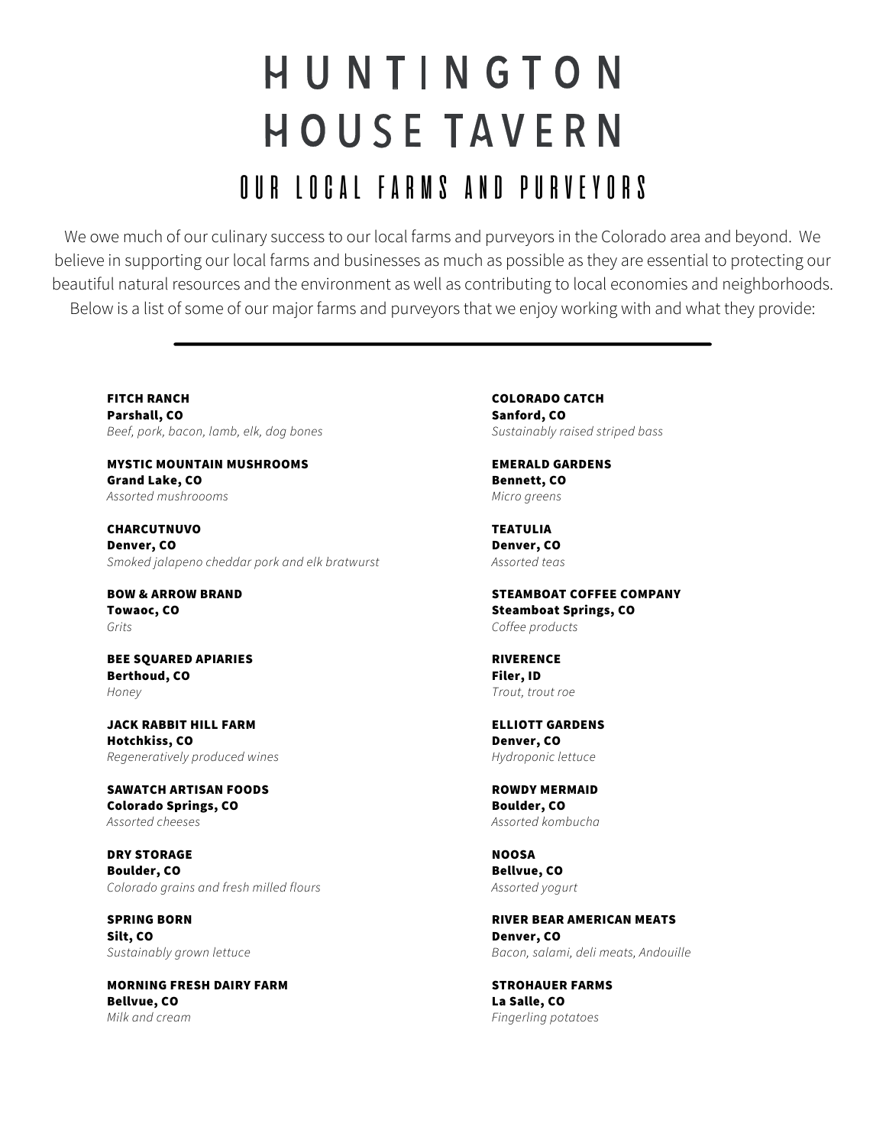# HUNTINGTON **HOUSE TAVERN** OUR LOCAL FARMS AND PURVEYORS

We owe much of our culinary success to our local farms and purveyors in the Colorado area and beyond. We believe in supporting our local farms and businesses as much as possible as they are essential to protecting our beautiful natural resources and the environment as well as contributing to local economies and neighborhoods. Below is a list of some of our major farms and purveyors that we enjoy working with and what they provide:

FITCH RANCH Parshall, CO Beef, pork, bacon, lamb, elk, dog bones

MYSTIC MOUNTAIN MUSHROOMS Grand Lake, CO Assorted mushroooms

CHARCUTNUVO Denver, CO Smoked jalapeno cheddar pork and elk bratwurst

BOW & ARROW BRAND Towaoc, CO Grits

BEE SQUARED APIARIES Berthoud, CO Honey

JACK RABBIT HILL FARM Hotchkiss, CO Regeneratively produced wines

SAWATCH ARTISAN FOODS Colorado Springs, CO Assorted cheeses

DRY STORAGE Boulder, CO Colorado grains and fresh milled flours

SPRING BORN Silt, CO Sustainably grown lettuce

MORNING FRESH DAIRY FARM Bellvue, CO Milk and cream

COLORADO CATCH Sanford, CO Sustainably raised striped bass

EMERALD GARDENS Bennett, CO Micro greens

TEATULIA Denver, CO Assorted teas

STEAMBOAT COFFEE COMPANY Steamboat Springs, CO Coffee products

RIVERENCE Filer, ID Trout, trout roe

ELLIOTT GARDENS Denver, CO Hydroponic lettuce

ROWDY MERMAID Boulder, CO Assorted kombucha

NOOSA Bellvue, CO Assorted yogurt

RIVER BEAR AMERICAN MEATS Denver, CO Bacon, salami, deli meats, Andouille

STROHAUER FARMS La Salle, CO Fingerling potatoes